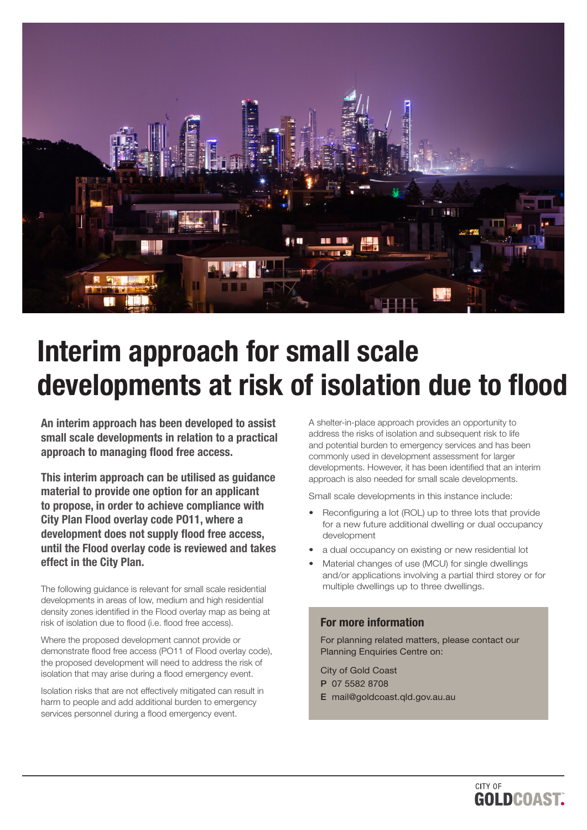

# Interim approach for small scale developments at risk of isolation due to flood

An interim approach has been developed to assist small scale developments in relation to a practical approach to managing flood free access.

This interim approach can be utilised as guidance material to provide one option for an applicant to propose, in order to achieve compliance with City Plan Flood overlay code PO11, where a development does not supply flood free access, until the Flood overlay code is reviewed and takes effect in the City Plan.

The following guidance is relevant for small scale residential developments in areas of low, medium and high residential density zones identified in the Flood overlay map as being at risk of isolation due to flood (i.e. flood free access).

Where the proposed development cannot provide or demonstrate flood free access (PO11 of Flood overlay code), the proposed development will need to address the risk of isolation that may arise during a flood emergency event.

Isolation risks that are not effectively mitigated can result in harm to people and add additional burden to emergency services personnel during a flood emergency event.

A shelter-in-place approach provides an opportunity to address the risks of isolation and subsequent risk to life and potential burden to emergency services and has been commonly used in development assessment for larger developments. However, it has been identified that an interim approach is also needed for small scale developments.

Small scale developments in this instance include:

- Reconfiguring a lot (ROL) up to three lots that provide for a new future additional dwelling or dual occupancy development
- a dual occupancy on existing or new residential lot
- Material changes of use (MCU) for single dwellings and/or applications involving a partial third storey or for multiple dwellings up to three dwellings.

## For more information

For planning related matters, please contact our Planning Enquiries Centre on:

City of Gold Coast P 07 5582 8708

- 
- E mail@goldcoast.qld.gov.au.au